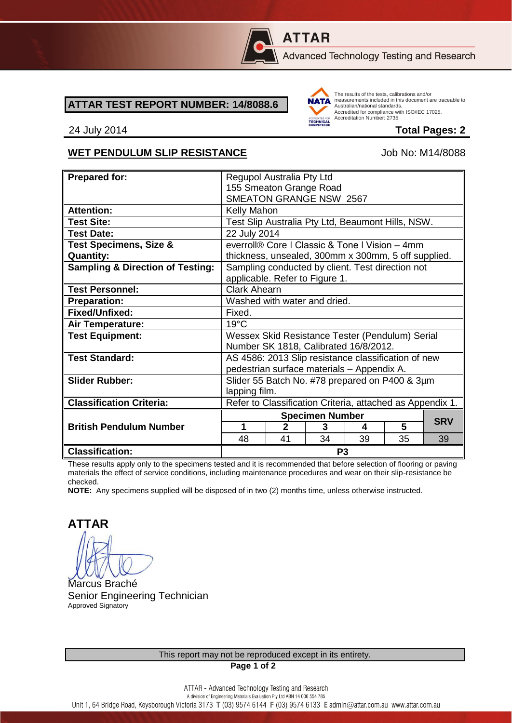

# **ATTAR**

Advanced Technology Testing and Research

#### **ATTAR TEST REPORT NUMBER: 14/8088.6**



The results of the tests, calibrations and/or measurements included in this document are traceable to Australian/national standards. Adstrational Midional Standards.<br>Accredited for compliance with ISO/IEC 17025. Accreditation Number: 2735

24 July 2014 **Total Pages: 2**

### WET PENDULUM SLIP RESISTANCE Job No: M14/8088

| <b>Prepared for:</b>                        | Regupol Australia Pty Ltd                                 |              |    |    |    |            |
|---------------------------------------------|-----------------------------------------------------------|--------------|----|----|----|------------|
|                                             | 155 Smeaton Grange Road                                   |              |    |    |    |            |
|                                             | SMEATON GRANGE NSW 2567                                   |              |    |    |    |            |
| <b>Attention:</b>                           |                                                           |              |    |    |    |            |
|                                             | <b>Kelly Mahon</b>                                        |              |    |    |    |            |
| <b>Test Site:</b>                           | Test Slip Australia Pty Ltd, Beaumont Hills, NSW.         |              |    |    |    |            |
| <b>Test Date:</b>                           | 22 July 2014                                              |              |    |    |    |            |
| <b>Test Specimens, Size &amp;</b>           | everroll® Core   Classic & Tone   Vision - 4mm            |              |    |    |    |            |
| <b>Quantity:</b>                            | thickness, unsealed, 300mm x 300mm, 5 off supplied.       |              |    |    |    |            |
| <b>Sampling &amp; Direction of Testing:</b> | Sampling conducted by client. Test direction not          |              |    |    |    |            |
|                                             | applicable. Refer to Figure 1.                            |              |    |    |    |            |
| <b>Test Personnel:</b>                      | Clark Ahearn                                              |              |    |    |    |            |
| <b>Preparation:</b>                         | Washed with water and dried.                              |              |    |    |    |            |
| Fixed/Unfixed:                              | Fixed.                                                    |              |    |    |    |            |
| <b>Air Temperature:</b>                     | $19^{\circ}$ C                                            |              |    |    |    |            |
| <b>Test Equipment:</b>                      | Wessex Skid Resistance Tester (Pendulum) Serial           |              |    |    |    |            |
|                                             | Number SK 1818, Calibrated 16/8/2012.                     |              |    |    |    |            |
| <b>Test Standard:</b>                       | AS 4586: 2013 Slip resistance classification of new       |              |    |    |    |            |
|                                             | pedestrian surface materials - Appendix A.                |              |    |    |    |            |
| <b>Slider Rubber:</b>                       | Slider 55 Batch No. #78 prepared on P400 & 3µm            |              |    |    |    |            |
|                                             | lapping film.                                             |              |    |    |    |            |
| <b>Classification Criteria:</b>             | Refer to Classification Criteria, attached as Appendix 1. |              |    |    |    |            |
|                                             | <b>Specimen Number</b>                                    |              |    |    |    |            |
| <b>British Pendulum Number</b>              | 1                                                         | $\mathbf{2}$ | 3  | 4  | 5  | <b>SRV</b> |
|                                             | 48                                                        | 41           | 34 | 39 | 35 | 39         |
| <b>Classification:</b>                      | P <sub>3</sub>                                            |              |    |    |    |            |

These results apply only to the specimens tested and it is recommended that before selection of flooring or paving materials the effect of service conditions, including maintenance procedures and wear on their slip-resistance be checked.

**NOTE:** Any specimens supplied will be disposed of in two (2) months time, unless otherwise instructed.

**ATTAR**

Marcus Braché Senior Engineering Technician Approved Signatory